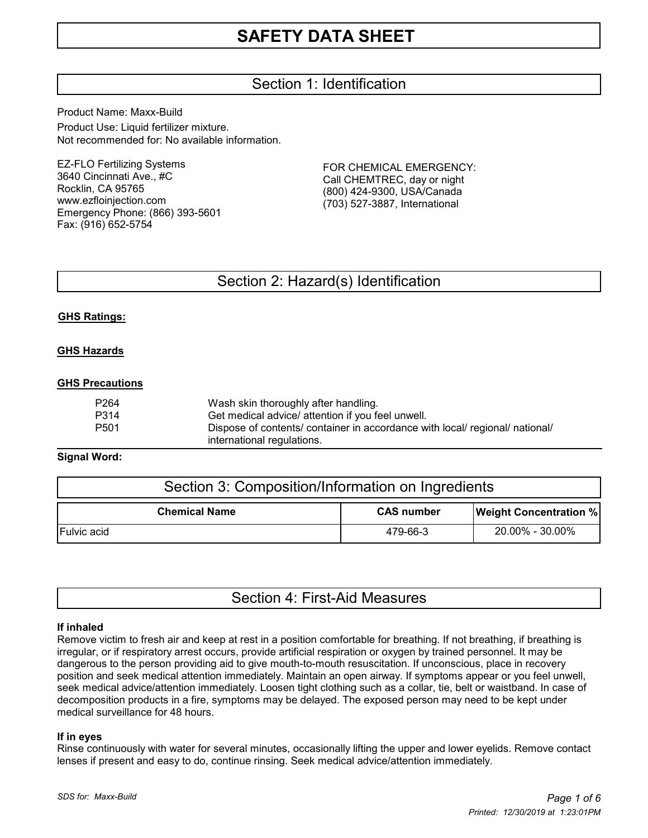# Section 1: Identification

Product Name: Maxx-Build Product Use: Liquid fertilizer mixture. Not recommended for: No available information.

EZ-FLO Fertilizing Systems 3640 Cincinnati Ave., #C Rocklin, CA 95765 www.ezfloinjection.com Emergency Phone: (866) 393-5601 Fax: (916) 652-5754

FOR CHEMICAL EMERGENCY: Call CHEMTREC, day or night (800) 424-9300, USA/Canada (703) 527-3887, International

## Section 2: Hazard(s) Identification

#### **GHS Ratings:**

#### **GHS Hazards**

#### **GHS Precautions**

| P264 | Wash skin thoroughly after handling.                                         |
|------|------------------------------------------------------------------------------|
| P314 | Get medical advice/ attention if you feel unwell.                            |
| P501 | Dispose of contents/ container in accordance with local/ regional/ national/ |
|      | international regulations.                                                   |

#### **Signal Word:**

| Section 3: Composition/Information on Ingredients |                   |                               |  |
|---------------------------------------------------|-------------------|-------------------------------|--|
| <b>Chemical Name</b>                              | <b>CAS number</b> | <b>Weight Concentration %</b> |  |
| <b>Fulvic acid</b>                                | 479-66-3          | 20.00% - 30.00%               |  |

|  |  | Section 4: First-Aid Measures |
|--|--|-------------------------------|
|--|--|-------------------------------|

#### **If inhaled**

Remove victim to fresh air and keep at rest in a position comfortable for breathing. If not breathing, if breathing is irregular, or if respiratory arrest occurs, provide artificial respiration or oxygen by trained personnel. It may be dangerous to the person providing aid to give mouth-to-mouth resuscitation. If unconscious, place in recovery position and seek medical attention immediately. Maintain an open airway. If symptoms appear or you feel unwell, seek medical advice/attention immediately. Loosen tight clothing such as a collar, tie, belt or waistband. In case of decomposition products in a fire, symptoms may be delayed. The exposed person may need to be kept under medical surveillance for 48 hours.

#### **If in eyes**

Rinse continuously with water for several minutes, occasionally lifting the upper and lower eyelids. Remove contact lenses if present and easy to do, continue rinsing. Seek medical advice/attention immediately.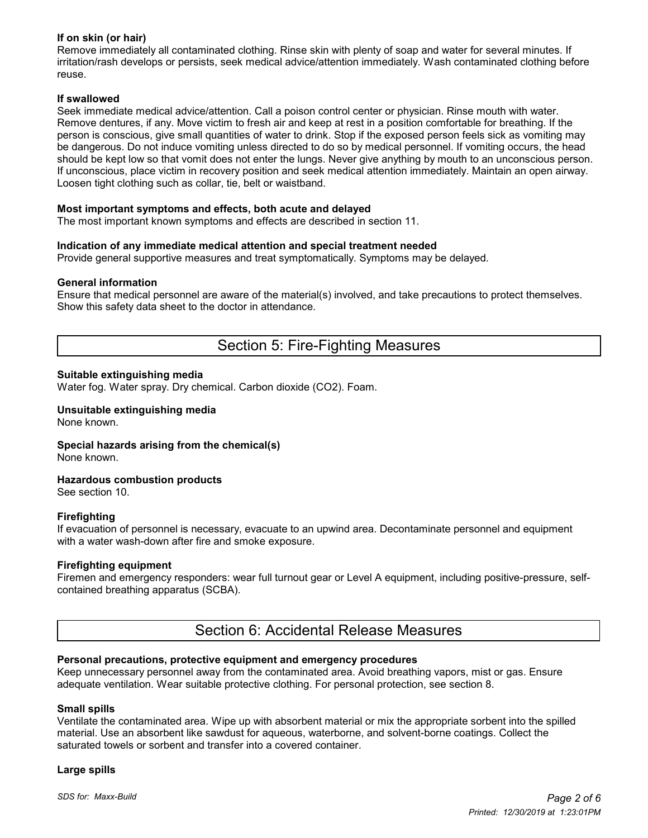### **If on skin (or hair)**

Remove immediately all contaminated clothing. Rinse skin with plenty of soap and water for several minutes. If irritation/rash develops or persists, seek medical advice/attention immediately. Wash contaminated clothing before reuse.

#### **If swallowed**

Seek immediate medical advice/attention. Call a poison control center or physician. Rinse mouth with water. Remove dentures, if any. Move victim to fresh air and keep at rest in a position comfortable for breathing. If the person is conscious, give small quantities of water to drink. Stop if the exposed person feels sick as vomiting may be dangerous. Do not induce vomiting unless directed to do so by medical personnel. If vomiting occurs, the head should be kept low so that vomit does not enter the lungs. Never give anything by mouth to an unconscious person. If unconscious, place victim in recovery position and seek medical attention immediately. Maintain an open airway. Loosen tight clothing such as collar, tie, belt or waistband.

#### **Most important symptoms and effects, both acute and delayed**

The most important known symptoms and effects are described in section 11.

#### **Indication of any immediate medical attention and special treatment needed**

Provide general supportive measures and treat symptomatically. Symptoms may be delayed.

#### **General information**

Ensure that medical personnel are aware of the material(s) involved, and take precautions to protect themselves. Show this safety data sheet to the doctor in attendance.

## Section 5: Fire-Fighting Measures

#### **Suitable extinguishing media**

Water fog. Water spray. Dry chemical. Carbon dioxide (CO2). Foam.

#### **Unsuitable extinguishing media** None known.

**Special hazards arising from the chemical(s)**

None known.

#### **Hazardous combustion products**

See section 10.

#### **Firefighting**

If evacuation of personnel is necessary, evacuate to an upwind area. Decontaminate personnel and equipment with a water wash-down after fire and smoke exposure.

#### **Firefighting equipment**

Firemen and emergency responders: wear full turnout gear or Level A equipment, including positive-pressure, selfcontained breathing apparatus (SCBA).

## Section 6: Accidental Release Measures

#### **Personal precautions, protective equipment and emergency procedures**

Keep unnecessary personnel away from the contaminated area. Avoid breathing vapors, mist or gas. Ensure adequate ventilation. Wear suitable protective clothing. For personal protection, see section 8.

#### **Small spills**

Ventilate the contaminated area. Wipe up with absorbent material or mix the appropriate sorbent into the spilled material. Use an absorbent like sawdust for aqueous, waterborne, and solvent-borne coatings. Collect the saturated towels or sorbent and transfer into a covered container.

#### **Large spills**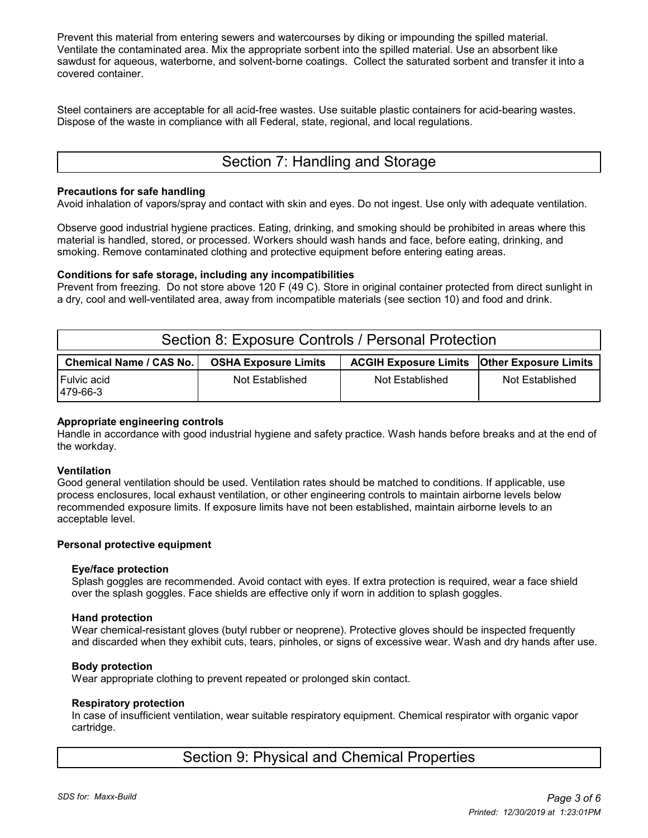Prevent this material from entering sewers and watercourses by diking or impounding the spilled material. Ventilate the contaminated area. Mix the appropriate sorbent into the spilled material. Use an absorbent like sawdust for aqueous, waterborne, and solvent-borne coatings. Collect the saturated sorbent and transfer it into a covered container.

Steel containers are acceptable for all acid-free wastes. Use suitable plastic containers for acid-bearing wastes. Dispose of the waste in compliance with all Federal, state, regional, and local regulations.

# Section 7: Handling and Storage

#### **Precautions for safe handling**

Avoid inhalation of vapors/spray and contact with skin and eyes. Do not ingest. Use only with adequate ventilation.

Observe good industrial hygiene practices. Eating, drinking, and smoking should be prohibited in areas where this material is handled, stored, or processed. Workers should wash hands and face, before eating, drinking, and smoking. Remove contaminated clothing and protective equipment before entering eating areas.

#### **Conditions for safe storage, including any incompatibilities**

Prevent from freezing. Do not store above 120 F (49 C). Store in original container protected from direct sunlight in a dry, cool and well-ventilated area, away from incompatible materials (see section 10) and food and drink.

| Section 8: Exposure Controls / Personal Protection |                             |                                                      |                 |  |  |  |
|----------------------------------------------------|-----------------------------|------------------------------------------------------|-----------------|--|--|--|
| <b>Chemical Name / CAS No.</b>                     | <b>OSHA Exposure Limits</b> | <b>ACGIH Exposure Limits   Other Exposure Limits</b> |                 |  |  |  |
| Fulvic acid<br>479-66-3                            | Not Established             | Not Established                                      | Not Established |  |  |  |

#### **Appropriate engineering controls**

Handle in accordance with good industrial hygiene and safety practice. Wash hands before breaks and at the end of the workday.

#### **Ventilation**

Good general ventilation should be used. Ventilation rates should be matched to conditions. If applicable, use process enclosures, local exhaust ventilation, or other engineering controls to maintain airborne levels below recommended exposure limits. If exposure limits have not been established, maintain airborne levels to an acceptable level.

#### **Personal protective equipment**

#### **Eye/face protection**

 Splash goggles are recommended. Avoid contact with eyes. If extra protection is required, wear a face shield over the splash goggles. Face shields are effective only if worn in addition to splash goggles.

#### **Hand protection**

 Wear chemical-resistant gloves (butyl rubber or neoprene). Protective gloves should be inspected frequently and discarded when they exhibit cuts, tears, pinholes, or signs of excessive wear. Wash and dry hands after use.

#### **Body protection**

Wear appropriate clothing to prevent repeated or prolonged skin contact.

#### **Respiratory protection**

 In case of insufficient ventilation, wear suitable respiratory equipment. Chemical respirator with organic vapor cartridge.

## Section 9: Physical and Chemical Properties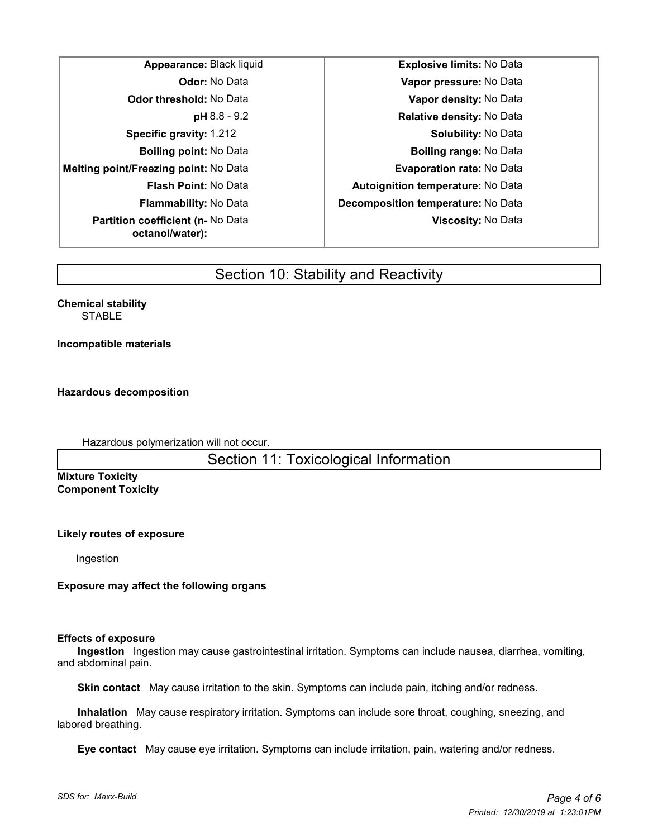**Melting point/Freezing point:** No Data **Evaporation rate:** No Data **Partition coefficient (n-** No Data **octanol/water):**

**Appearance:** Black liquid **Explosive limits:** No Data **Odor:** No Data **Vapor pressure:** No Data **Odor threshold:** No Data **Vapor density:** No Data **pH** 8.8 - 9.2 **Relative density:** No Data **Specific gravity:** 1.212 **Specific gravity:** 1.212 **Boiling point:** No Data **Boiling range:** No Data **Flash Point:** No Data **Autoignition temperature:** No Data **Flammability:** No Data **Decomposition temperature:** No Data **Viscosity:** No Data

# Section 10: Stability and Reactivity

**Chemical stability STABLE** 

**Incompatible materials**

**Hazardous decomposition**

Hazardous polymerization will not occur.

Section 11: Toxicological Information

**Mixture Toxicity Component Toxicity**

**Likely routes of exposure**

Ingestion

**Exposure may affect the following organs**

#### **Effects of exposure**

 **Ingestion** Ingestion may cause gastrointestinal irritation. Symptoms can include nausea, diarrhea, vomiting, and abdominal pain.

 **Skin contact** May cause irritation to the skin. Symptoms can include pain, itching and/or redness.

 **Inhalation** May cause respiratory irritation. Symptoms can include sore throat, coughing, sneezing, and labored breathing.

 **Eye contact** May cause eye irritation. Symptoms can include irritation, pain, watering and/or redness.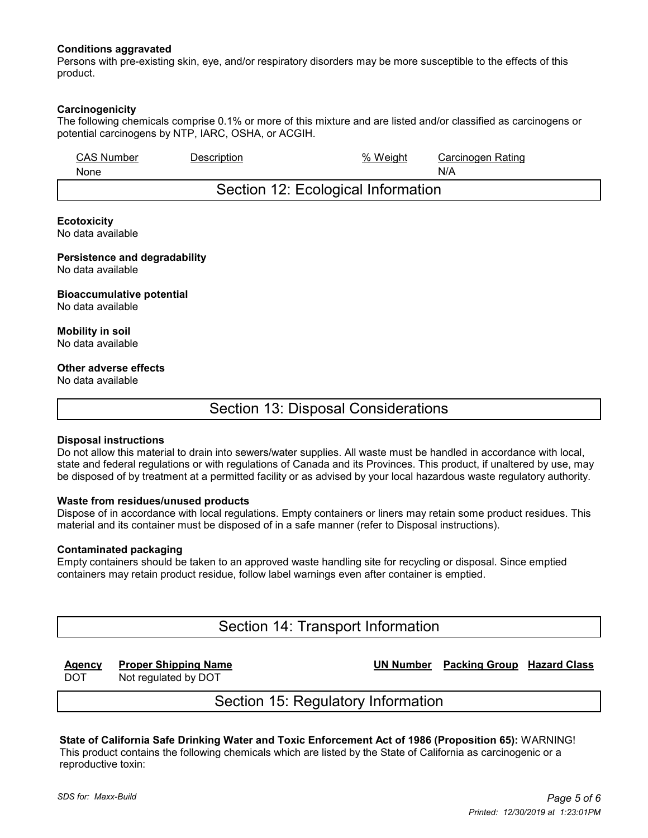#### **Conditions aggravated**

Persons with pre-existing skin, eye, and/or respiratory disorders may be more susceptible to the effects of this product.

#### **Carcinogenicity**

The following chemicals comprise 0.1% or more of this mixture and are listed and/or classified as carcinogens or potential carcinogens by NTP, IARC, OSHA, or ACGIH.

| <b>CAS Number</b> | Description | % Weiaht                           | Carcinogen Rating |
|-------------------|-------------|------------------------------------|-------------------|
| None              |             |                                    | N/A               |
|                   |             | Section 12: Ecological Information |                   |

#### **Ecotoxicity**

No data available

### **Persistence and degradability**

No data available

## **Bioaccumulative potential**

No data available

**Mobility in soil** No data available

#### **Other adverse effects**

No data available

## Section 13: Disposal Considerations

#### **Disposal instructions**

Do not allow this material to drain into sewers/water supplies. All waste must be handled in accordance with local, state and federal regulations or with regulations of Canada and its Provinces. This product, if unaltered by use, may be disposed of by treatment at a permitted facility or as advised by your local hazardous waste regulatory authority.

#### **Waste from residues/unused products**

Dispose of in accordance with local regulations. Empty containers or liners may retain some product residues. This material and its container must be disposed of in a safe manner (refer to Disposal instructions).

#### **Contaminated packaging**

Empty containers should be taken to an approved waste handling site for recycling or disposal. Since emptied containers may retain product residue, follow label warnings even after container is emptied.

## Section 14: Transport Information

**Agency Proper Shipping Name UN Number Packing Group Hazard Class**

DOT Not regulated by DOT

## Section 15: Regulatory Information

**State of California Safe Drinking Water and Toxic Enforcement Act of 1986 (Proposition 65):** WARNING! This product contains the following chemicals which are listed by the State of California as carcinogenic or a reproductive toxin: